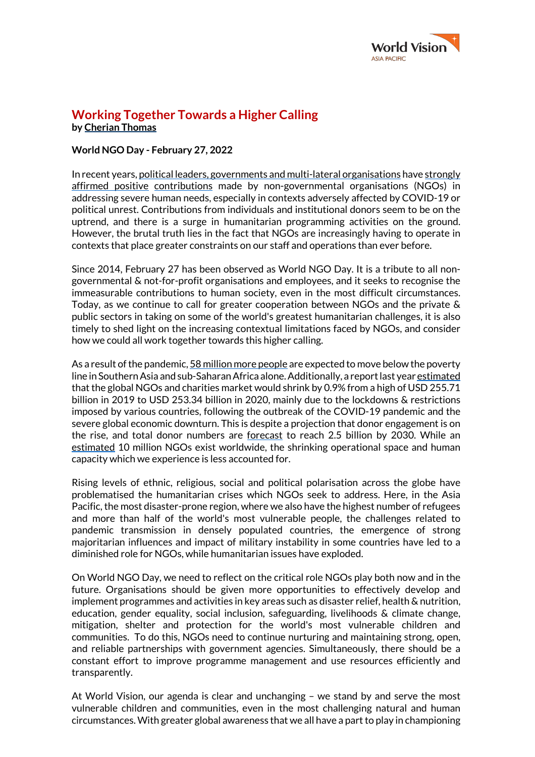

## **Working Together Towards a Higher Calling by Cherian Thomas**

## **World NGO Day - February 27, 2022**

In recent years, political leaders, governments and multi-lateral organisations have strongly affirmed positive contributions made by non-governmental organisations (NGOs) in addressing severe human needs, especially in contexts adversely affected by COVID-19 or political unrest. Contributions from individuals and institutional donors seem to be on the uptrend, and there is a surge in humanitarian programming activities on the ground. However, the brutal truth lies in the fact that NGOs are increasingly having to operate in contexts that place greater constraints on our staff and operations than ever before.

Since 2014, February 27 has been observed as World NGO Day. It is a tribute to all nongovernmental & not-for-profit organisations and employees, and it seeks to recognise the immeasurable contributions to human society, even in the most difficult circumstances. Today, as we continue to call for greater cooperation between NGOs and the private & public sectors in taking on some of the world's greatest humanitarian challenges, it is also timely to shed light on the increasing contextual limitations faced by NGOs, and consider how we could all work together towards this higher calling.

As a result of the pandemic, 58 million more people are expected to move below the poverty line in SouthernAsia and sub-Saharan Africa alone.Additionally, a report last year estimated that the global NGOs and charities market would shrink by 0.9% from a high of USD 255.71 billion in 2019 to USD 253.34 billion in 2020, mainly due to the lockdowns & restrictions imposed by various countries, following the outbreak of the COVID-19 pandemic and the severe global economic downturn. This is despite a projection that donor engagement is on the rise, and total donor numbers are forecast to reach 2.5 billion by 2030. While an estimated 10 million NGOs exist worldwide, the shrinking operational space and human capacity which we experience is less accounted for.

Rising levels of ethnic, religious, social and political polarisation across the globe have problematised the humanitarian crises which NGOs seek to address. Here, in the Asia Pacific, the most disaster-prone region, where we also have the highest number of refugees and more than half of the world's most vulnerable people, the challenges related to pandemic transmission in densely populated countries, the emergence of strong majoritarian influences and impact of military instability in some countries have led to a diminished role for NGOs, while humanitarian issues have exploded.

On World NGO Day, we need to reflect on the critical role NGOs play both now and in the future. Organisations should be given more opportunities to effectively develop and implement programmes and activities in key areas such as disaster relief, health & nutrition, education, gender equality, social inclusion, safeguarding, livelihoods & climate change, mitigation, shelter and protection for the world's most vulnerable children and communities. To do this, NGOs need to continue nurturing and maintaining strong, open, and reliable partnerships with government agencies. Simultaneously, there should be a constant effort to improve programme management and use resources efficiently and transparently.

At World Vision, our agenda is clear and unchanging – we stand by and serve the most vulnerable children and communities, even in the most challenging natural and human circumstances.With greater global awareness that we all have a part to play in championing